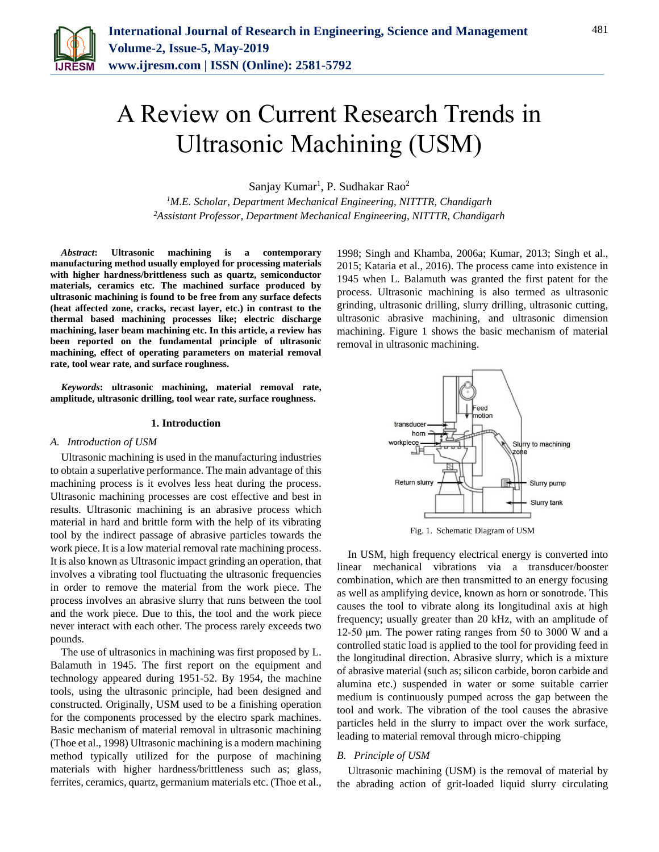

# A Review on Current Research Trends in Ultrasonic Machining (USM)

Sanjay Kumar<sup>1</sup>, P. Sudhakar Rao<sup>2</sup>

*<sup>1</sup>M.E. Scholar, Department Mechanical Engineering, NITTTR, Chandigarh 2Assistant Professor, Department Mechanical Engineering, NITTTR, Chandigarh*

*Abstract***: Ultrasonic machining is a contemporary manufacturing method usually employed for processing materials with higher hardness/brittleness such as quartz, semiconductor materials, ceramics etc. The machined surface produced by ultrasonic machining is found to be free from any surface defects (heat affected zone, cracks, recast layer, etc.) in contrast to the thermal based machining processes like; electric discharge machining, laser beam machining etc. In this article, a review has been reported on the fundamental principle of ultrasonic machining, effect of operating parameters on material removal rate, tool wear rate, and surface roughness.**

*Keywords***: ultrasonic machining, material removal rate, amplitude, ultrasonic drilling, tool wear rate, surface roughness.**

#### **1. Introduction**

#### *A. Introduction of USM*

Ultrasonic machining is used in the manufacturing industries to obtain a superlative performance. The main advantage of this machining process is it evolves less heat during the process. Ultrasonic machining processes are cost effective and best in results. Ultrasonic machining is an abrasive process which material in hard and brittle form with the help of its vibrating tool by the indirect passage of abrasive particles towards the work piece. It is a low material removal rate machining process. It is also known as Ultrasonic impact grinding an operation, that involves a vibrating tool fluctuating the ultrasonic frequencies in order to remove the material from the work piece. The process involves an abrasive slurry that runs between the tool and the work piece. Due to this, the tool and the work piece never interact with each other. The process rarely exceeds two pounds.

The use of ultrasonics in machining was first proposed by L. Balamuth in 1945. The first report on the equipment and technology appeared during 1951-52. By 1954, the machine tools, using the ultrasonic principle, had been designed and constructed. Originally, USM used to be a finishing operation for the components processed by the electro spark machines. Basic mechanism of material removal in ultrasonic machining (Thoe et al., 1998) Ultrasonic machining is a modern machining method typically utilized for the purpose of machining materials with higher hardness/brittleness such as; glass, ferrites, ceramics, quartz, germanium materials etc. (Thoe et al.,

1998; Singh and Khamba, 2006a; Kumar, 2013; Singh et al., 2015; Kataria et al., 2016). The process came into existence in 1945 when L. Balamuth was granted the first patent for the process. Ultrasonic machining is also termed as ultrasonic grinding, ultrasonic drilling, slurry drilling, ultrasonic cutting, ultrasonic abrasive machining, and ultrasonic dimension machining. Figure 1 shows the basic mechanism of material removal in ultrasonic machining.



Fig. 1. Schematic Diagram of USM

In USM, high frequency electrical energy is converted into linear mechanical vibrations via a transducer/booster combination, which are then transmitted to an energy focusing as well as amplifying device, known as horn or sonotrode. This causes the tool to vibrate along its longitudinal axis at high frequency; usually greater than 20 kHz, with an amplitude of 12-50 μm. The power rating ranges from 50 to 3000 W and a controlled static load is applied to the tool for providing feed in the longitudinal direction. Abrasive slurry, which is a mixture of abrasive material (such as; silicon carbide, boron carbide and alumina etc.) suspended in water or some suitable carrier medium is continuously pumped across the gap between the tool and work. The vibration of the tool causes the abrasive particles held in the slurry to impact over the work surface, leading to material removal through micro-chipping

#### *B. Principle of USM*

Ultrasonic machining (USM) is the removal of material by the abrading action of grit-loaded liquid slurry circulating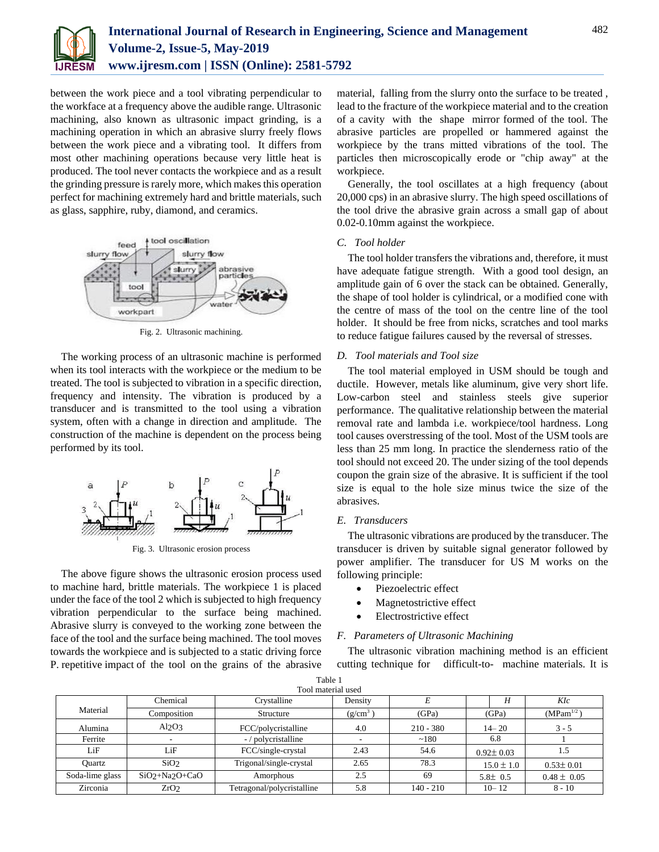

between the work piece and a tool vibrating perpendicular to the workface at a frequency above the audible range. Ultrasonic machining, also known as ultrasonic impact grinding, is a machining operation in which an abrasive slurry freely flows between the work piece and a vibrating tool. It differs from most other machining operations because very little heat is produced. The tool never contacts the workpiece and as a result the grinding pressure is rarely more, which makes this operation perfect for machining extremely hard and brittle materials, such as glass, sapphire, ruby, diamond, and ceramics.



Fig. 2. Ultrasonic machining.

The working process of an ultrasonic machine is performed when its tool interacts with the workpiece or the medium to be treated. The tool is subjected to vibration in a specific direction, frequency and intensity. The vibration is produced by a transducer and is transmitted to the tool using a vibration system, often with a change in direction and amplitude. The construction of the machine is dependent on the process being performed by its tool.



Fig. 3. Ultrasonic erosion process

The above figure shows the ultrasonic erosion process used to machine hard, brittle materials. The workpiece 1 is placed under the face of the tool 2 which is subjected to high frequency vibration perpendicular to the surface being machined. Abrasive slurry is conveyed to the working zone between the face of the tool and the surface being machined. The tool moves towards the workpiece and is subjected to a static driving force P. repetitive impact of the tool on the grains of the abrasive

material, falling from the slurry onto the surface to be treated , lead to the fracture of the workpiece material and to the creation of a cavity with the shape mirror formed of the tool. The abrasive particles are propelled or hammered against the workpiece by the trans mitted vibrations of the tool. The particles then microscopically erode or "chip away" at the workpiece.

Generally, the tool oscillates at a high frequency (about 20,000 cps) in an abrasive slurry. The high speed oscillations of the tool drive the abrasive grain across a small gap of about 0.02-0.10mm against the workpiece.

#### *C. Tool holder*

The tool holder transfers the vibrations and, therefore, it must have adequate fatigue strength. With a good tool design, an amplitude gain of 6 over the stack can be obtained. Generally, the shape of tool holder is cylindrical, or a modified cone with the centre of mass of the tool on the centre line of the tool holder. It should be free from nicks, scratches and tool marks to reduce fatigue failures caused by the reversal of stresses.

#### *D. Tool materials and Tool size*

The tool material employed in USM should be tough and ductile. However, metals like aluminum, give very short life. Low-carbon steel and stainless steels give superior performance. The qualitative relationship between the material removal rate and lambda i.e. workpiece/tool hardness. Long tool causes overstressing of the tool. Most of the USM tools are less than 25 mm long. In practice the slenderness ratio of the tool should not exceed 20. The under sizing of the tool depends coupon the grain size of the abrasive. It is sufficient if the tool size is equal to the hole size minus twice the size of the abrasives.

#### *E. Transducers*

The ultrasonic vibrations are produced by the transducer. The transducer is driven by suitable signal generator followed by power amplifier. The transducer for US M works on the following principle:

- Piezoelectric effect
- Magnetostrictive effect
- Electrostrictive effect

#### *F. Parameters of Ultrasonic Machining*

The ultrasonic vibration machining method is an efficient cutting technique for difficult-to- machine materials. It is

| 1 avit 1<br>Tool material used |                  |                            |            |             |                 |                 |
|--------------------------------|------------------|----------------------------|------------|-------------|-----------------|-----------------|
|                                | Chemical         | Crystalline                | Density    |             | Η               | KIc             |
| Material                       | Composition      | Structure                  | $(g/cm^3)$ | (GPa)       | (GPa)           | $(MPam^{1/2})$  |
| Alumina                        | Al2O3            | FCC/polycristalline        | 4.0        | $210 - 380$ | $14 - 20$       | $3 - 5$         |
| Ferrite                        |                  | -/polycristalline          |            | ~180        | 6.8             |                 |
| LiF                            | LiF              | FCC/single-crystal         | 2.43       | 54.6        | $0.92 \pm 0.03$ | 1.5             |
| Ouartz                         | SiO <sub>2</sub> | Trigonal/single-crystal    | 2.65       | 78.3        | $15.0 \pm 1.0$  | $0.53 \pm 0.01$ |
| Soda-lime glass                | $SiO2+Na2O+CaO$  | Amorphous                  | 2.5        | 69          | $5.8 \pm 0.5$   | $0.48 \pm 0.05$ |
| Zirconia                       | ZrO <sub>2</sub> | Tetragonal/polycristalline | 5.8        | $140 - 210$ | $10 - 12$       | $8 - 10$        |

Table 1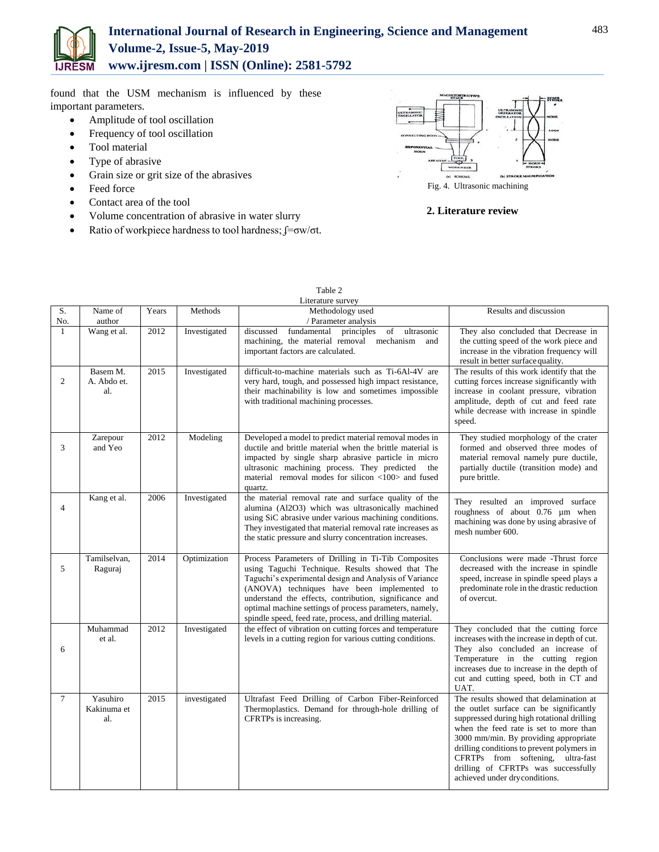

# **International Journal of Research in Engineering, Science and Management Volume-2, Issue-5, May-2019 www.ijresm.com | ISSN (Online): 2581-5792**

found that the USM mechanism is influenced by these important parameters.

- Amplitude of tool oscillation
- Frequency of tool oscillation
- **•** Tool material
- Type of abrasive
- Grain size or grit size of the abrasives
- Feed force
- Contact area of the tool
- Volume concentration of abrasive in water slurry
- Ratio of workpiece hardness to tool hardness;  $\oint = \sigma w/\sigma t$ .



Fig. 4. Ultrasonic machining

### **2. Literature review**

|                | Literature survey              |       |              |                                                                                                                                                                                                                                                                                                                                                                                                    |                                                                                                                                                                                                                                                                                                                                                                                |  |
|----------------|--------------------------------|-------|--------------|----------------------------------------------------------------------------------------------------------------------------------------------------------------------------------------------------------------------------------------------------------------------------------------------------------------------------------------------------------------------------------------------------|--------------------------------------------------------------------------------------------------------------------------------------------------------------------------------------------------------------------------------------------------------------------------------------------------------------------------------------------------------------------------------|--|
| S.<br>No.      | Name of<br>author              | Years | Methods      | Methodology used<br>/ Parameter analysis                                                                                                                                                                                                                                                                                                                                                           | Results and discussion                                                                                                                                                                                                                                                                                                                                                         |  |
| $\mathbf{1}$   | Wang et al.                    | 2012  | Investigated | discussed<br>fundamental<br>of ultrasonic<br>principles<br>machining, the material removal<br>mechanism<br>and<br>important factors are calculated.                                                                                                                                                                                                                                                | They also concluded that Decrease in<br>the cutting speed of the work piece and<br>increase in the vibration frequency will<br>result in better surface quality.                                                                                                                                                                                                               |  |
| $\overline{2}$ | Basem M.<br>A. Abdo et.<br>al. | 2015  | Investigated | difficult-to-machine materials such as Ti-6Al-4V are<br>very hard, tough, and possessed high impact resistance,<br>their machinability is low and sometimes impossible<br>with traditional machining processes.                                                                                                                                                                                    | The results of this work identify that the<br>cutting forces increase significantly with<br>increase in coolant pressure, vibration<br>amplitude, depth of cut and feed rate<br>while decrease with increase in spindle<br>speed.                                                                                                                                              |  |
| 3              | Zarepour<br>and Yeo            | 2012  | Modeling     | Developed a model to predict material removal modes in<br>ductile and brittle material when the brittle material is<br>impacted by single sharp abrasive particle in micro<br>ultrasonic machining process. They predicted<br>the<br>material removal modes for silicon $\langle 100 \rangle$ and fused<br>quartz.                                                                                 | They studied morphology of the crater<br>formed and observed three modes of<br>material removal namely pure ductile,<br>partially ductile (transition mode) and<br>pure brittle.                                                                                                                                                                                               |  |
| $\overline{4}$ | Kang et al.                    | 2006  | Investigated | the material removal rate and surface quality of the<br>alumina (Al2O3) which was ultrasonically machined<br>using SiC abrasive under various machining conditions.<br>They investigated that material removal rate increases as<br>the static pressure and slurry concentration increases.                                                                                                        | They resulted an improved surface<br>roughness of about 0.76 µm when<br>machining was done by using abrasive of<br>mesh number 600.                                                                                                                                                                                                                                            |  |
| 5              | Tamilselvan,<br>Raguraj        | 2014  | Optimization | Process Parameters of Drilling in Ti-Tib Composites<br>using Taguchi Technique. Results showed that The<br>Taguchi's experimental design and Analysis of Variance<br>(ANOVA) techniques have been implemented to<br>understand the effects, contribution, significance and<br>optimal machine settings of process parameters, namely,<br>spindle speed, feed rate, process, and drilling material. | Conclusions were made -Thrust force<br>decreased with the increase in spindle<br>speed, increase in spindle speed plays a<br>predominate role in the drastic reduction<br>of overcut.                                                                                                                                                                                          |  |
| 6              | Muhammad<br>et al.             | 2012  | Investigated | the effect of vibration on cutting forces and temperature<br>levels in a cutting region for various cutting conditions.                                                                                                                                                                                                                                                                            | They concluded that the cutting force<br>increases with the increase in depth of cut.<br>They also concluded an increase of<br>Temperature in the cutting region<br>increases due to increase in the depth of<br>cut and cutting speed, both in CT and<br>UAT.                                                                                                                 |  |
| $\tau$         | Yasuhiro<br>Kakinuma et<br>al. | 2015  | investigated | Ultrafast Feed Drilling of Carbon Fiber-Reinforced<br>Thermoplastics. Demand for through-hole drilling of<br>CFRTPs is increasing.                                                                                                                                                                                                                                                                 | The results showed that delamination at<br>the outlet surface can be significantly<br>suppressed during high rotational drilling<br>when the feed rate is set to more than<br>3000 mm/min. By providing appropriate<br>drilling conditions to prevent polymers in<br>CFRTPs from softening, ultra-fast<br>drilling of CFRTPs was successfully<br>achieved under dryconditions. |  |

## Table 2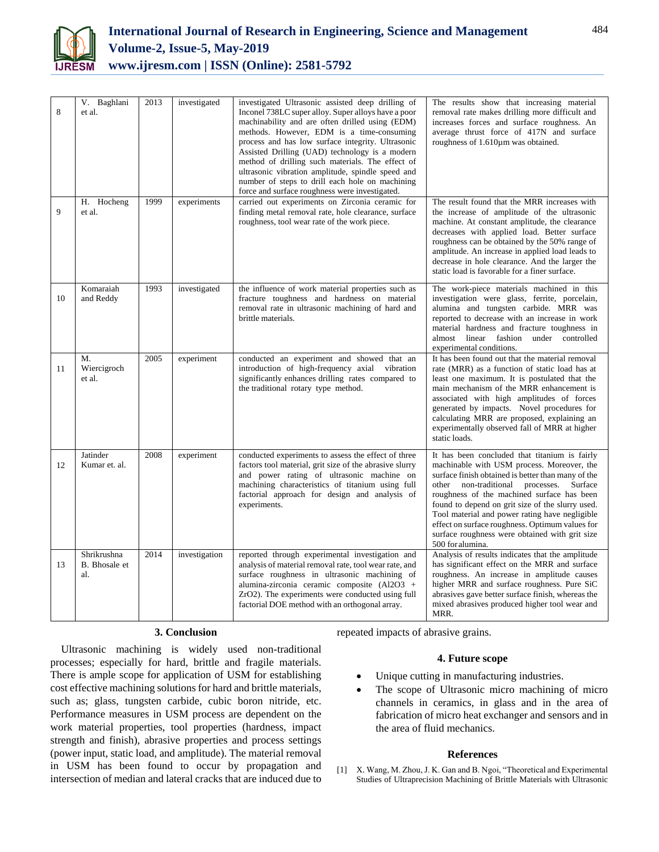

| 8  | V. Baghlani<br>et al.               | 2013 | investigated  | investigated Ultrasonic assisted deep drilling of<br>Inconel 738LC super alloy. Super alloys have a poor<br>machinability and are often drilled using (EDM)<br>methods. However, EDM is a time-consuming<br>process and has low surface integrity. Ultrasonic<br>Assisted Drilling (UAD) technology is a modern<br>method of drilling such materials. The effect of<br>ultrasonic vibration amplitude, spindle speed and<br>number of steps to drill each hole on machining<br>force and surface roughness were investigated. | The results show that increasing material<br>removal rate makes drilling more difficult and<br>increases forces and surface roughness. An<br>average thrust force of 417N and surface<br>roughness of 1.610µm was obtained.                                                                                                                                                                                                                                                   |
|----|-------------------------------------|------|---------------|-------------------------------------------------------------------------------------------------------------------------------------------------------------------------------------------------------------------------------------------------------------------------------------------------------------------------------------------------------------------------------------------------------------------------------------------------------------------------------------------------------------------------------|-------------------------------------------------------------------------------------------------------------------------------------------------------------------------------------------------------------------------------------------------------------------------------------------------------------------------------------------------------------------------------------------------------------------------------------------------------------------------------|
| 9  | H. Hocheng<br>et al.                | 1999 | experiments   | carried out experiments on Zirconia ceramic for<br>finding metal removal rate, hole clearance, surface<br>roughness, tool wear rate of the work piece.                                                                                                                                                                                                                                                                                                                                                                        | The result found that the MRR increases with<br>the increase of amplitude of the ultrasonic<br>machine. At constant amplitude, the clearance<br>decreases with applied load. Better surface<br>roughness can be obtained by the 50% range of<br>amplitude. An increase in applied load leads to<br>decrease in hole clearance. And the larger the<br>static load is favorable for a finer surface.                                                                            |
| 10 | Komaraiah<br>and Reddy              | 1993 | investigated  | the influence of work material properties such as<br>fracture toughness and hardness on material<br>removal rate in ultrasonic machining of hard and<br>brittle materials.                                                                                                                                                                                                                                                                                                                                                    | The work-piece materials machined in this<br>investigation were glass, ferrite, porcelain,<br>alumina and tungsten carbide. MRR was<br>reported to decrease with an increase in work<br>material hardness and fracture toughness in<br>almost linear fashion under controlled<br>experimental conditions.                                                                                                                                                                     |
| 11 | M.<br>Wiercigroch<br>et al.         | 2005 | experiment    | conducted an experiment and showed that an<br>introduction of high-frequency axial vibration<br>significantly enhances drilling rates compared to<br>the traditional rotary type method.                                                                                                                                                                                                                                                                                                                                      | It has been found out that the material removal<br>rate (MRR) as a function of static load has at<br>least one maximum. It is postulated that the<br>main mechanism of the MRR enhancement is<br>associated with high amplitudes of forces<br>generated by impacts. Novel procedures for<br>calculating MRR are proposed, explaining an<br>experimentally observed fall of MRR at higher<br>static loads.                                                                     |
| 12 | Jatinder<br>Kumar et. al.           | 2008 | experiment    | conducted experiments to assess the effect of three<br>factors tool material, grit size of the abrasive slurry<br>and power rating of ultrasonic machine on<br>machining characteristics of titanium using full<br>factorial approach for design and analysis of<br>experiments.                                                                                                                                                                                                                                              | It has been concluded that titanium is fairly<br>machinable with USM process. Moreover, the<br>surface finish obtained is better than many of the<br>other non-traditional processes.<br>Surface<br>roughness of the machined surface has been<br>found to depend on grit size of the slurry used.<br>Tool material and power rating have negligible<br>effect on surface roughness. Optimum values for<br>surface roughness were obtained with grit size<br>500 for alumina. |
| 13 | Shrikrushna<br>B. Bhosale et<br>al. | 2014 | investigation | reported through experimental investigation and<br>analysis of material removal rate, tool wear rate, and<br>surface roughness in ultrasonic machining of<br>alumina-zirconia ceramic composite (Al2O3 +<br>ZrO2). The experiments were conducted using full<br>factorial DOE method with an orthogonal array.                                                                                                                                                                                                                | Analysis of results indicates that the amplitude<br>has significant effect on the MRR and surface<br>roughness. An increase in amplitude causes<br>higher MRR and surface roughness. Pure SiC<br>abrasives gave better surface finish, whereas the<br>mixed abrasives produced higher tool wear and<br>MRR.                                                                                                                                                                   |

#### **3. Conclusion**

Ultrasonic machining is widely used non-traditional processes; especially for hard, brittle and fragile materials. There is ample scope for application of USM for establishing cost effective machining solutions for hard and brittle materials, such as; glass, tungsten carbide, cubic boron nitride, etc. Performance measures in USM process are dependent on the work material properties, tool properties (hardness, impact strength and finish), abrasive properties and process settings (power input, static load, and amplitude). The material removal in USM has been found to occur by propagation and intersection of median and lateral cracks that are induced due to repeated impacts of abrasive grains.

#### **4. Future scope**

- Unique cutting in manufacturing industries.
- The scope of Ultrasonic micro machining of micro channels in ceramics, in glass and in the area of fabrication of micro heat exchanger and sensors and in the area of fluid mechanics.

#### **References**

[1] X. Wang, M. Zhou, J. K. Gan and B. Ngoi, "Theoretical and Experimental Studies of Ultraprecision Machining of Brittle Materials with Ultrasonic